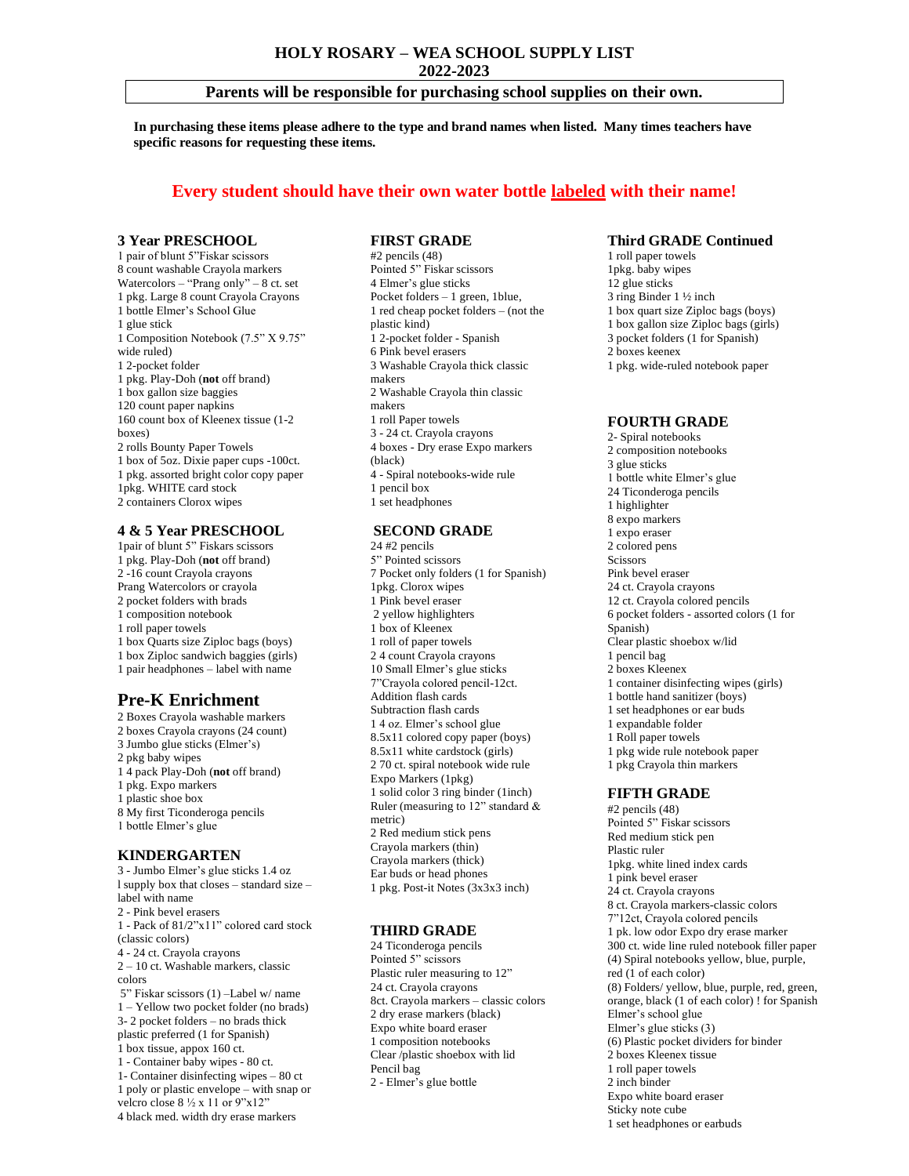**2022-2023**

## **Parents will be responsible for purchasing school supplies on their own.**

**In purchasing these items please adhere to the type and brand names when listed. Many times teachers have specific reasons for requesting these items.** 

# **Every student should have their own water bottle labeled with their name!**

#### **3 Year PRESCHOOL**

1 pair of blunt 5"Fiskar scissors 8 count washable Crayola markers Watercolors – "Prang only" – 8 ct. set 1 pkg. Large 8 count Crayola Crayons 1 bottle Elmer's School Glue 1 glue stick 1 Composition Notebook (7.5" X 9.75" wide ruled) 1 2-pocket folder 1 pkg. Play-Doh (**not** off brand) 1 box gallon size baggies 120 count paper napkins 160 count box of Kleenex tissue (1-2 boxes) 2 rolls Bounty Paper Towels 1 box of 5oz. Dixie paper cups -100ct. 1 pkg. assorted bright color copy paper 1pkg. WHITE card stock 2 containers Clorox wipes

## **4 & 5 Year PRESCHOOL**

1pair of blunt 5" Fiskars scissors 1 pkg. Play-Doh (**not** off brand) 2 -16 count Crayola crayons Prang Watercolors or crayola 2 pocket folders with brads 1 composition notebook 1 roll paper towels 1 box Quarts size Ziploc bags (boys) 1 box Ziploc sandwich baggies (girls) 1 pair headphones – label with name

# **Pre-K Enrichment**

2 Boxes Crayola washable markers 2 boxes Crayola crayons (24 count) 3 Jumbo glue sticks (Elmer's) 2 pkg baby wipes 1 4 pack Play-Doh (**not** off brand) 1 pkg. Expo markers 1 plastic shoe box 8 My first Ticonderoga pencils 1 bottle Elmer's glue **KINDERGARTEN** 3 - Jumbo Elmer's glue sticks 1.4 oz

l supply box that closes – standard size – label with name 2 - Pink bevel erasers 1 - Pack of 81/2"x11" colored card stock (classic colors) 4 - 24 ct. Crayola crayons 2 – 10 ct. Washable markers, classic colors 5" Fiskar scissors (1) –Label w/ name 1 – Yellow two pocket folder (no brads) 3- 2 pocket folders – no brads thick plastic preferred (1 for Spanish) 1 box tissue, appox 160 ct. 1 - Container baby wipes - 80 ct. 1- Container disinfecting wipes – 80 ct 1 poly or plastic envelope – with snap or velcro close 8 ½ x 11 or 9"x12" 4 black med. width dry erase markers

#### **FIRST GRADE**

#2 pencils (48) Pointed 5" Fiskar scissors 4 Elmer's glue sticks Pocket folders – 1 green, 1blue, 1 red cheap pocket folders – (not the plastic kind) 1 2-pocket folder - Spanish 6 Pink bevel erasers 3 Washable Crayola thick classic makers 2 Washable Crayola thin classic makers 1 roll Paper towels 3 - 24 ct. Crayola crayons 4 boxes - Dry erase Expo markers (black) 4 - Spiral notebooks-wide rule 1 pencil box 1 set headphones

## **SECOND GRADE**

24 #2 pencils 5" Pointed scissors 7 Pocket only folders (1 for Spanish) 1pkg. Clorox wipes 1 Pink bevel eraser 2 yellow highlighters 1 box of Kleenex 1 roll of paper towels 2 4 count Crayola crayons 10 Small Elmer's glue sticks 7"Crayola colored pencil-12ct. Addition flash cards Subtraction flash cards 1 4 oz. Elmer's school glue 8.5x11 colored copy paper (boys) 8.5x11 white cardstock (girls) 2 70 ct. spiral notebook wide rule Expo Markers (1pkg) 1 solid color 3 ring binder (1inch) Ruler (measuring to 12" standard & metric) 2 Red medium stick pens Crayola markers (thin) Crayola markers (thick) Ear buds or head phones 1 pkg. Post-it Notes (3x3x3 inch)

#### **THIRD GRADE**

24 Ticonderoga pencils Pointed 5" scissors Plastic ruler measuring to 12" 24 ct. Crayola crayons 8ct. Crayola markers – classic colors 2 dry erase markers (black) Expo white board eraser 1 composition notebooks Clear /plastic shoebox with lid Pencil bag 2 - Elmer's glue bottle

## **Third GRADE Continued**

1 roll paper towels 1pkg. baby wipes 12 glue sticks 3 ring Binder 1 ½ inch 1 box quart size Ziploc bags (boys) 1 box gallon size Ziploc bags (girls) 3 pocket folders (1 for Spanish) 2 boxes keenex 1 pkg. wide-ruled notebook paper

#### **FOURTH GRADE**

2- Spiral notebooks 2 composition notebooks 3 glue sticks 1 bottle white Elmer's glue 24 Ticonderoga pencils 1 highlighter 8 expo markers 1 expo eraser 2 colored pens **Scissors** Pink bevel eraser 24 ct. Crayola crayons 12 ct. Crayola colored pencils 6 pocket folders - assorted colors (1 for Spanish) Clear plastic shoebox w/lid 1 pencil bag 2 boxes Kleenex 1 container disinfecting wipes (girls) 1 bottle hand sanitizer (boys) 1 set headphones or ear buds 1 expandable folder 1 Roll paper towels 1 pkg wide rule notebook paper 1 pkg Crayola thin markers **FIFTH GRADE**

#2 pencils (48) Pointed 5" Fiskar scissors Red medium stick pen Plastic ruler 1pkg. white lined index cards 1 pink bevel eraser 24 ct. Crayola crayons 8 ct. Crayola markers-classic colors 7"12ct, Crayola colored pencils 1 pk. low odor Expo dry erase marker 300 ct. wide line ruled notebook filler paper (4) Spiral notebooks yellow, blue, purple, red (1 of each color) (8) Folders/ yellow, blue, purple, red, green, orange, black (1 of each color) ! for Spanish Elmer's school glue Elmer's glue sticks (3) (6) Plastic pocket dividers for binder 2 boxes Kleenex tissue 1 roll paper towels 2 inch binder Expo white board eraser Sticky note cube 1 set headphones or earbuds